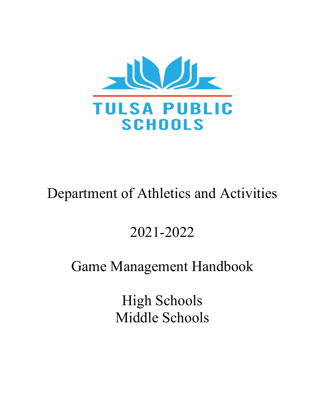

# Department of Athletics and Activities

# 2021-2022

# Game Management Handbook

High Schools Middle Schools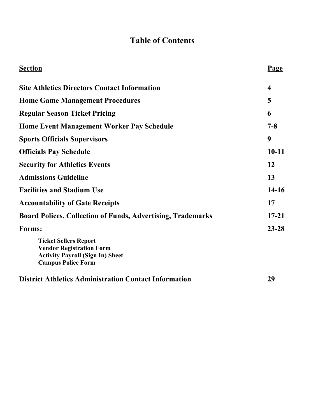#### **Table of Contents**

| <b>Section</b>                                                                                                                          | <u>Page</u>             |
|-----------------------------------------------------------------------------------------------------------------------------------------|-------------------------|
| <b>Site Athletics Directors Contact Information</b>                                                                                     | $\overline{\mathbf{4}}$ |
| <b>Home Game Management Procedures</b>                                                                                                  | 5                       |
| <b>Regular Season Ticket Pricing</b>                                                                                                    | 6                       |
| <b>Home Event Management Worker Pay Schedule</b>                                                                                        | $7 - 8$                 |
| <b>Sports Officials Supervisors</b>                                                                                                     | 9                       |
| <b>Officials Pay Schedule</b>                                                                                                           | $10 - 11$               |
| <b>Security for Athletics Events</b>                                                                                                    | 12                      |
| <b>Admissions Guideline</b>                                                                                                             | 13                      |
| <b>Facilities and Stadium Use</b>                                                                                                       | 14-16                   |
| <b>Accountability of Gate Receipts</b>                                                                                                  | 17                      |
| <b>Board Polices, Collection of Funds, Advertising, Trademarks</b>                                                                      | $17 - 21$               |
| Forms:                                                                                                                                  | $23 - 28$               |
| <b>Ticket Sellers Report</b><br><b>Vendor Registration Form</b><br><b>Activity Payroll (Sign In) Sheet</b><br><b>Campus Police Form</b> |                         |
| <b>District Athletics Administration Contact Information</b>                                                                            | 29                      |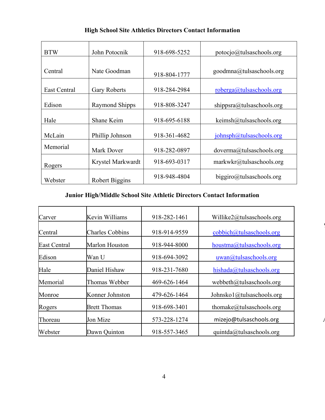| <b>BTW</b>   | John Potocnik       | 918-698-5252 | potocjo@tulsaschools.org                            |
|--------------|---------------------|--------------|-----------------------------------------------------|
| Central      | Nate Goodman        | 918-804-1777 | goodmna@tulsaschools.org                            |
| East Central | <b>Gary Roberts</b> | 918-284-2984 | roberga@tulsaschools.org                            |
| Edison       | Raymond Shipps      | 918-808-3247 | shippsra@tulsaschools.org                           |
| Hale         | Shane Keim          | 918-695-6188 | $k \in \mathbb{R}$ keimsh $\omega$ tulsaschools.org |
| McLain       | Phillip Johnson     | 918-361-4682 | johnsph@tulsaschools.org                            |
| Memorial     | Mark Dover          | 918-282-0897 | doverma@tulsaschools.org                            |
| Rogers       | Krystel Markwardt   | 918-693-0317 | markwkr@tulsaschools.org                            |
| Webster      | Robert Biggins      | 918-948-4804 | biggiro@tulsaschools.org                            |

#### **Junior High/Middle School Site Athletic Directors Contact Information**

| Carver              | Kevin Williams         | 918-282-1461 | Willike2@tulsaschools.org     |
|---------------------|------------------------|--------------|-------------------------------|
| Central             | <b>Charles Cobbins</b> | 918-914-9559 | cobbich@tulsaschools.org      |
| <b>East Central</b> | Marlon Houston         | 918-944-8000 | houstma@tulsaschools.org      |
| Edison              | Wan U                  | 918-694-3092 | uwan@tulsaschools.org         |
| Hale                | Daniel Hishaw          | 918-231-7680 | hishada@tulsaschools.org      |
| Memorial            | Thomas Webber          | 469-626-1464 | webbeth@tulsaschools.org      |
| Monroe              | Konner Johnston        | 479-626-1464 | Johnsko $1$ @tulsaschools.org |
| Rogers              | <b>Brett Thomas</b>    | 918-698-3401 | thomake@tulsaschools.org      |
| Thoreau             | Jon Mize               | 573-228-1274 | mizejo@tulsaschools.org       |
| Webster             | Dawn Quinton           | 918-557-3465 | quintda@tulsaschools.org      |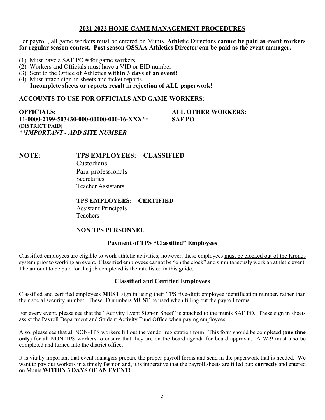#### **2021-2022 HOME GAME MANAGEMENT PROCEDURES**

For payroll, all game workers must be entered on Munis. **Athletic Directors cannot be paid as event workers for regular season contest. Post season OSSAA Athletics Director can be paid as the event manager.**

- 
- (1) Must have a SAF PO  $#$  for game workers (2) Workers and Officials must have a VID or EID number
- (3) Sent to the Office of Athletics **within 3 days of an event!**
- (4) Must attach sign-in sheets and ticket reports. **Incomplete sheets or reports result in rejection of ALL paperwork!**

**ACCOUNTS TO USE FOR OFFICIALS AND GAME WORKERS**:

**OFFICIALS: ALL OTHER WORKERS: 11-0000-2199-503430-000-00000-000-16-XXX\*\* SAF PO (DISTRICT PAID)** *\*\*IMPORTANT - ADD SITE NUMBER*

#### **NOTE: TPS EMPLOYEES: CLASSIFIED**

Custodians Para-professionals **Secretaries** Teacher Assistants

#### **TPS EMPLOYEES: CERTIFIED**

Assistant Principals Teachers

#### **NON TPS PERSONNEL**

#### **Payment of TPS "Classified" Employees**

Classified employees are eligible to work athletic activities; however, these employees must be clocked out of the Kronos system prior to working an event. Classified employees cannot be "on the clock" and simultaneously work an athletic event. The amount to be paid for the job completed is the rate listed in this guide.

#### **Classified and Certified Employees**

Classified and certified employees **MUST** sign in using their TPS five-digit employee identification number, rather than their social security number. These ID numbers **MUST** be used when filling out the payroll forms.

For every event, please see that the "Activity Event Sign-in Sheet" is attached to the munis SAF PO. These sign in sheets assist the Payroll Department and Student Activity Fund Office when paying employees.

Also, please see that all NON-TPS workers fill out the vendor registration form. This form should be completed (**one time only**) for all NON-TPS workers to ensure that they are on the board agenda for board approval. A W-9 must also be completed and turned into the district office.

It is vitally important that event managers prepare the proper payroll forms and send in the paperwork that is needed. We want to pay our workers in a timely fashion and, it is imperative that the payroll sheets are filled out: **correctly** and entered on Munis **WITHIN 3 DAYS OF AN EVENT!**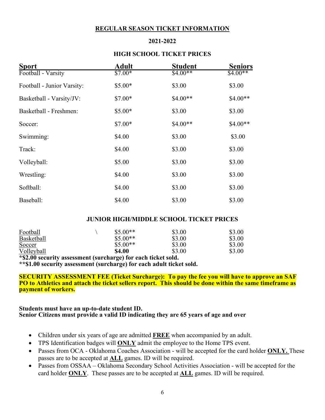#### **REGULAR SEASON TICKET INFORMATION**

#### **2021-2022**

#### **HIGH SCHOOL TICKET PRICES**

| <b>Sport</b>               | <b>Adult</b> | <b>Student</b> | <b>Seniors</b> |
|----------------------------|--------------|----------------|----------------|
| Football - Varsity         | $$7.00*$     | $$4.00**$$     | $$4.00**$$     |
| Football - Junior Varsity: | $$5.00*$     | \$3.00         | \$3.00         |
| Basketball - Varsity/JV:   | $$7.00*$     | $$4.00**$$     | $$4.00**$$     |
| Basketball - Freshmen:     | $$5.00*$     | \$3.00         | \$3.00         |
| Soccer:                    | $$7.00*$     | $$4.00**$      | $$4.00**$      |
| Swimming:                  | \$4.00       | \$3.00         | \$3.00         |
| Track:                     | \$4.00       | \$3.00         | \$3.00         |
| Volleyball:                | \$5.00       | \$3.00         | \$3.00         |
| Wrestling:                 | \$4.00       | \$3.00         | \$3.00         |
| Softball:                  | \$4.00       | \$3.00         | \$3.00         |
| Baseball:                  | \$4.00       | \$3.00         | \$3.00         |

#### **JUNIOR HIGH/MIDDLE SCHOOL TICKET PRICES**

| Football   | $$5.00**$     | \$3.00 | \$3.00 |
|------------|---------------|--------|--------|
| Basketball | $$5.00**$     | \$3.00 | \$3.00 |
| Soccer     | $$5.00**$     | \$3.00 | \$3.00 |
| Volleyball | <b>\$4.00</b> | \$3.00 | \$3.00 |

**\*\$2.00 security assessment (surcharge) for each ticket sold.**

**\*\*\$1.00 security assessment (surcharge) for each adult ticket sold.** 

**SECURITY ASSESSMENT FEE (Ticket Surcharge): To pay the fee you will have to approve an SAF PO to Athletics and attach the ticket sellers report. This should be done within the same timeframe as payment of workers.** 

#### **Students must have an up-to-date student ID. Senior Citizens must provide a valid ID indicating they are 65 years of age and over**

- Children under six years of age are admitted **FREE** when accompanied by an adult.
- TPS Identification badges will **ONLY** admit the employee to the Home TPS event.
- Passes from OCA Oklahoma Coaches Association will be accepted for the card holder **ONLY.** These passes are to be accepted at **ALL** games. ID will be required.
- Passes from OSSAA Oklahoma Secondary School Activities Association will be accepted for the card holder **ONLY**. These passes are to be accepted at **ALL** games. ID will be required.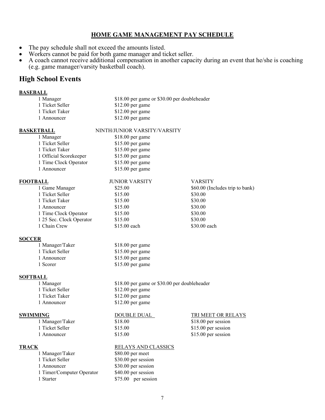#### **HOME GAME MANAGEMENT PAY SCHEDULE**

- The pay schedule shall not exceed the amounts listed.
- Workers cannot be paid for both game manager and ticket seller.
- A coach cannot receive additional compensation in another capacity during an event that he/she is coaching (e.g. game manager/varsity basketball coach).

#### **High School Events**

#### **BASEBALL**

| 1 Manager       | \$18.00 per game or \$30.00 per doubleheader |
|-----------------|----------------------------------------------|
| 1 Ticket Seller | $$12.00$ per game                            |
| 1 Ticket Taker  | $$12.00$ per game                            |
| 1 Announcer     | $$12.00$ per game                            |

#### **BASKETBALL** NINTH/JUNIOR VARSITY/VARSITY

| 1 Manager              | \$18.00 per game |
|------------------------|------------------|
| 1 Ticket Seller        | \$15.00 per game |
| 1 Ticket Taker         | \$15.00 per game |
| 1 Official Scorekeeper | \$15.00 per game |
| 1 Time Clock Operator  | \$15.00 per game |
| 1 Announcer            | \$15.00 per game |
|                        |                  |

| <b>FOOTBALL</b>          | <b>JUNIOR VARSITY</b> | <b>VARSITY</b>                  |
|--------------------------|-----------------------|---------------------------------|
| 1 Game Manager           | \$25.00               | \$60.00 (Includes trip to bank) |
| 1 Ticket Seller          | \$15.00               | \$30.00                         |
| 1 Ticket Taker           | \$15.00               | \$30.00                         |
| 1 Announcer              | \$15.00               | \$30.00                         |
| 1 Time Clock Operator    | \$15.00               | \$30.00                         |
| 1 25 Sec. Clock Operator | \$15.00               | \$30.00                         |
| 1 Chain Crew             | $$15.00$ each         | \$30.00 each                    |
|                          |                       |                                 |

#### **SOCCER**

| 1 Manager/Taker | $$18.00$ per game |
|-----------------|-------------------|
| 1 Ticket Seller | $$15.00$ per game |
| 1 Announcer     | $$15.00$ per game |
| 1 Scorer        | $$15.00$ per game |

#### **SOFTBALL**

1 Announcer \$12.00 per game

1 Manager/Taker \$18.00 \$18.00 \$18.00 \$18.00 \$18.00 \$18.00 \$18.00 \$18.00 \$18.00 \$18.00 \$18.00 \$18.00 \$18.00 \$1

1 Manager/Taker \$80.00 per meet 1 Ticket Seller \$30.00 per session 1 Announcer \$30.00 per session 1 Timer/Computer Operator \$40.00 per session 1 Starter \$75.00 per session

#### 1 Manager \$18.00 per game or \$30.00 per doubleheader 1 Ticket Seller \$12.00 per game 1 Ticket Taker \$12.00 per game

#### **SWIMMING** DOUBLE DUAL TRI MEET OR RELAYS

#### **TRACK RELAYS AND CLASSICS**

1 Ticket Seller \$15.00 \$15.00 \$15.00 per session 1 Announcer \$15.00 \$15.00 \$15.00 per session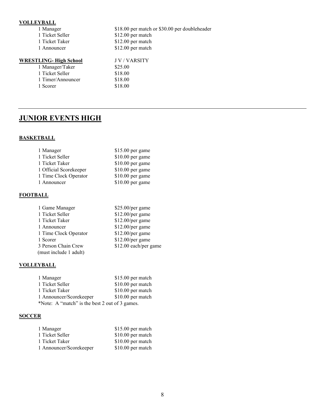#### **VOLLEYBALL**

| , оппетивно                    |                                               |
|--------------------------------|-----------------------------------------------|
| 1 Manager                      | \$18.00 per match or \$30.00 per doubleheader |
| 1 Ticket Seller                | \$12.00 per match                             |
| 1 Ticket Taker                 | \$12.00 per match                             |
| 1 Announcer                    | \$12.00 per match                             |
| <u> WRESTLING- High School</u> | <b>JV/VARSITY</b>                             |
| 1 Manager/Taker                | \$25.00                                       |
| 1 Ticket Seller                | \$18.00                                       |
| 1 Timer/Announcer              | \$18.00                                       |
| 1 Scorer                       | \$18.00                                       |
|                                |                                               |

#### **JUNIOR EVENTS HIGH**

#### **BASKETBALL**

| 1 Manager              | $$15.00$ per game |
|------------------------|-------------------|
| 1 Ticket Seller        | \$10.00 per game  |
| 1 Ticket Taker         | \$10.00 per game  |
| 1 Official Scorekeeper | \$10.00 per game  |
| 1 Time Clock Operator  | \$10.00 per game  |
| 1 Announcer            | $$10.00$ per game |

#### **FOOTBALL**

| 1 Game Manager         | $$25.00/per$ game     |
|------------------------|-----------------------|
| 1 Ticket Seller        | \$12.00/per game      |
| 1 Ticket Taker         | $$12.00/per$ game     |
| 1 Announcer            | $$12.00/per$ game     |
| 1 Time Clock Operator  | $$12.00/per$ game     |
| 1 Scorer               | $$12.00/per$ game     |
| 3 Person Chain Crew    | \$12.00 each/per game |
| (must include 1 adult) |                       |
|                        |                       |

#### **VOLLEYBALL**

| 1 Manager                                      | \$15.00 per match |
|------------------------------------------------|-------------------|
| 1 Ticket Seller                                | \$10.00 per match |
| 1 Ticket Taker                                 | \$10.00 per match |
| 1 Announcer/Scorekeeper                        | \$10.00 per match |
| *Note: A "match" is the best 2 out of 3 games. |                   |

#### **SOCCER**

| \$15.00 per match |
|-------------------|
| \$10.00 per match |
| \$10.00 per match |
| \$10.00 per match |
|                   |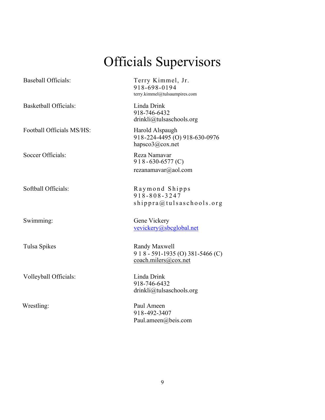# Officials Supervisors

| <b>Baseball Officials:</b>   | Terry Kimmel, Jr.<br>918-698-0194<br>terry.kimmel@tulsaumpires.com         |
|------------------------------|----------------------------------------------------------------------------|
| <b>Basketball Officials:</b> | Linda Drink<br>918-746-6432<br>drinkli@tulsaschools.org                    |
| Football Officials MS/HS:    | Harold Alspaugh<br>918-224-4495 (O) 918-630-0976<br>hapsco $3$ @cox.net    |
| Soccer Officials:            | Reza Namavar<br>$918 - 630 - 6577$ (C)<br>rezanamavar@aol.com              |
| Softball Officials:          | Raymond Shipps<br>918-808-3247<br>shippra@tulsaschools.org                 |
| Swimming:                    | Gene Vickery<br>vevickery@sbcglobal.net                                    |
| Tulsa Spikes                 | Randy Maxwell<br>9 1 8 - 591-1935 (O) 381-5466 (C)<br>coach.milers@cox.net |
| Volleyball Officials:        | Linda Drink<br>918-746-6432<br>drinkli@tulsaschools.org                    |
| Wrestling:                   | Paul Ameen<br>918-492-3407                                                 |

Paul.ameen@beis.com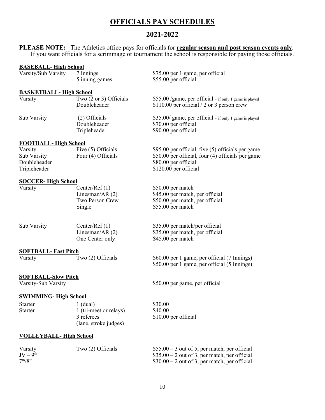#### **OFFICIALS PAY SCHEDULES**

#### **2021-2022**

\$75.00 per 1 game, per official

 $$95.00$  per official, five (5) officials per game  $$50.00$  per official, four (4) officials per game

\$60.00 per 1 game, per official (7 Innings) \$50.00 per 1 game, per official (5 Innings)

\$50.00 per game, per official

 $$55.00$  per official

 $$80.00$  per official  $$120.00$  per official

**PLEASE NOTE:** The Athletics office pays for officials for **regular season and post season events only**. If you want officials for a scrimmage or tournament the school is responsible for paying those officials.

#### **BASEBALL- High School**

| Varsity/Sub Varsity | 7 Innings      |
|---------------------|----------------|
|                     | 5 inning games |

#### **BASKETBALL- High School**

| Varsity     | Two $(2 \text{ or } 3)$ Officials<br>Doubleheader | $$55.00$ /game, per official - if only 1 game is played<br>\$110.00 per official $/$ 2 or 3 person crew |
|-------------|---------------------------------------------------|---------------------------------------------------------------------------------------------------------|
| Sub Varsity | $(2)$ Officials<br>Doubleheader<br>Tripleheader   | \$35.00/ game, per official - if only 1 game is played<br>\$70.00 per official<br>\$90.00 per official  |

## **FOOTBALL- High School**

| Varsity      | Five (5) Officials |
|--------------|--------------------|
| Sub Varsity  | Four (4) Officials |
| Doubleheader |                    |
| Tripleheader |                    |

#### **SOCCER- High School**

| Varsity     | Center/Ref $(1)$<br>Linesman/AR $(2)$ | \$50.00 per match<br>\$45.00 per match, per official |
|-------------|---------------------------------------|------------------------------------------------------|
|             | Two Person Crew<br>Single             | \$50.00 per match, per official<br>\$55.00 per match |
| Sub Varsity | Center/Ref $(1)$                      | \$35.00 per match/per official                       |
|             | Linesman/AR $(2)$                     | \$35.00 per match, per official                      |
|             | One Center only                       | \$45.00 per match                                    |

#### **SOFTBALL- Fast Pitch**

| Varsity<br>Two $(2)$ Officials |  |
|--------------------------------|--|
|--------------------------------|--|

# **SOFTBALL-Slow Pitch**<br>Varsity-Sub Varsity

#### **SWIMMING- High School**

| Starter        | $1$ (dual)             | \$30.00              |
|----------------|------------------------|----------------------|
| <b>Starter</b> | 1 (tri-meet or relays) | \$40.00              |
|                | 3 referees             | \$10.00 per official |
|                | (lane, stroke judges)  |                      |

#### **VOLLEYBALL- High School**

| Varsity                          | Two (2) Officials | $$55.00 - 3$ out of 5, per match, per official |
|----------------------------------|-------------------|------------------------------------------------|
| $JV - 9th$                       |                   | $$35.00 - 2$ out of 3, per match, per official |
| 7 <sup>th</sup> /R <sup>th</sup> |                   | $$30.00 - 2$ out of 3, per match, per official |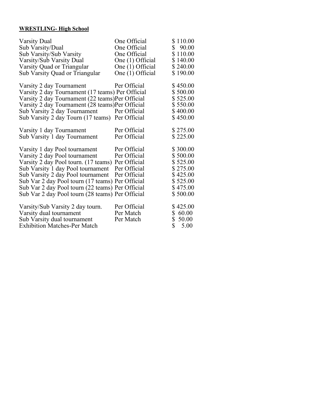#### **WRESTLING- High School**

| <b>Varsity Dual</b><br>Sub Varsity/Dual<br>Sub Varsity/Sub Varsity<br>Varsity/Sub Varsity Dual<br>Varsity Quad or Triangular<br>Sub Varsity Quad or Triangular                                                                                                                                                                                            | One Official<br>One Official<br>One Official<br>One (1) Official<br>One (1) Official<br>One (1) Official | \$110.00<br>\$90.00<br>\$110.00<br>\$140.00<br>\$240.00<br>\$190.00                          |
|-----------------------------------------------------------------------------------------------------------------------------------------------------------------------------------------------------------------------------------------------------------------------------------------------------------------------------------------------------------|----------------------------------------------------------------------------------------------------------|----------------------------------------------------------------------------------------------|
| Varsity 2 day Tournament<br>Varsity 2 day Tournament (17 teams) Per Official<br>Varsity 2 day Tournament (22 teams)Per Official<br>Varsity 2 day Tournament (28 teams)Per Official<br>Sub Varsity 2 day Tournament<br>Sub Varsity 2 day Tourn (17 teams) Per Official                                                                                     | Per Official<br>Per Official                                                                             | \$450.00<br>\$500.00<br>\$525.00<br>\$550.00<br>\$400.00<br>\$450.00                         |
| Varsity 1 day Tournament<br>Sub Varsity 1 day Tournament                                                                                                                                                                                                                                                                                                  | Per Official<br>Per Official                                                                             | \$275.00<br>\$225.00                                                                         |
| Varsity 1 day Pool tournament<br>Varsity 2 day Pool tournament<br>Varsity 2 day Pool tourn. (17 teams) Per Official<br>Sub Varsity 1 day Pool tournament<br>Sub Varsity 2 day Pool tournament<br>Sub Var 2 day Pool tourn (17 teams) Per Official<br>Sub Var 2 day Pool tourn (22 teams) Per Official<br>Sub Var 2 day Pool tourn (28 teams) Per Official | Per Official<br>Per Official<br>Per Official<br>Per Official                                             | \$300.00<br>\$500.00<br>\$525.00<br>\$275.00<br>\$425.00<br>\$525.00<br>\$475.00<br>\$500.00 |
| Varsity/Sub Varsity 2 day tourn.<br>Varsity dual tournament<br>Sub Varsity dual tournament<br><b>Exhibition Matches-Per Match</b>                                                                                                                                                                                                                         | Per Official<br>Per Match<br>Per Match                                                                   | \$425.00<br>\$60.00<br>\$<br>50.00<br>\$<br>5.00                                             |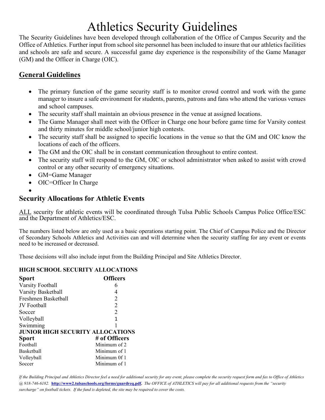# Athletics Security Guidelines

The Security Guidelines have been developed through collaboration of the Office of Campus Security and the Office of Athletics. Further input from school site personnel has been included to insure that our athletics facilities and schools are safe and secure. A successful game day experience is the responsibility of the Game Manager (GM) and the Officer in Charge (OIC).

#### **General Guidelines**

- The primary function of the game security staff is to monitor crowd control and work with the game manager to insure a safe environment for students, parents, patrons and fans who attend the various venues and school campuses.
- The security staff shall maintain an obvious presence in the venue at assigned locations.
- The Game Manager shall meet with the Officer in Charge one hour before game time for Varsity contest and thirty minutes for middle school/junior high contests.
- The security staff shall be assigned to specific locations in the venue so that the GM and OIC know the locations of each of the officers.
- The GM and the OIC shall be in constant communication throughout to entire contest.
- The security staff will respond to the GM, OIC or school administrator when asked to assist with crowd control or any other security of emergency situations.
- GM=Game Manager
- OIC=Officer In Charge
- •

#### **Security Allocations for Athletic Events**

ALL security for athletic events will be coordinated through Tulsa Public Schools Campus Police Office/ESC and the Department of Athletics/ESC.

The numbers listed below are only used as a basic operations starting point. The Chief of Campus Police and the Director of Secondary Schools Athletics and Activities can and will determine when the security staffing for any event or events need to be increased or decreased.

Those decisions will also include input from the Building Principal and Site Athletics Director.

#### **HIGH SCHOOL SECURITY ALLOCATIONS**

| <b>Sport</b>                            | <b>Officers</b> |
|-----------------------------------------|-----------------|
| Varsity Football                        | 6               |
| Varsity Basketball                      | 4               |
| Freshmen Basketball                     | 2               |
| <b>JV</b> Football                      | $\overline{2}$  |
| Soccer                                  | $\overline{2}$  |
| Volleyball                              | 1               |
| Swimming                                |                 |
| <b>JUNIOR HIGH SECURITY ALLOCATIONS</b> |                 |
| <b>Sport</b>                            | # of Officers   |
| Football                                | Minimum of 2    |
| <b>Basketball</b>                       | Minimum of 1    |
| Volleyball                              | Minimum 0f 1    |
| Soccer                                  | Minimum of 1    |

*If the Building Principal and Athletics Director feel a need for additional security for any event, please complete the security request form and fax to Office of Athletics @ 918-746-6182.* **[http://www2.tulsaschools.org/forms/guardreq.pdf.](http://www2.tulsaschools.org/forms/guardreq.pdf)** *The OFFICE of ATHLETICS will pay for all additional requests from the "security surcharge" on football tickets. If the fund is depleted, the site may be required to cover the costs.*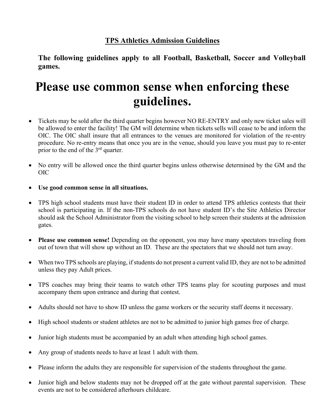#### **TPS Athletics Admission Guidelines**

**The following guidelines apply to all Football, Basketball, Soccer and Volleyball games.**

# **Please use common sense when enforcing these guidelines.**

- Tickets may be sold after the third quarter begins however NO RE-ENTRY and only new ticket sales will be allowed to enter the facility! The GM will determine when tickets sells will cease to be and inform the OIC. The OIC shall insure that all entrances to the venues are monitored for violation of the re-entry procedure. No re-entry means that once you are in the venue, should you leave you must pay to re-enter prior to the end of the 3<sup>rd</sup> quarter.
- No entry will be allowed once the third quarter begins unless otherwise determined by the GM and the OIC
- **Use good common sense in all situations.**
- TPS high school students must have their student ID in order to attend TPS athletics contests that their school is participating in. If the non-TPS schools do not have student ID's the Site Athletics Director should ask the School Administrator from the visiting school to help screen their students at the admission gates.
- **Please use common sense!** Depending on the opponent, you may have many spectators traveling from out of town that will show up without an ID. These are the spectators that we should not turn away.
- When two TPS schools are playing, if students do not present a current valid ID, they are not to be admitted unless they pay Adult prices.
- TPS coaches may bring their teams to watch other TPS teams play for scouting purposes and must accompany them upon entrance and during that contest.
- Adults should not have to show ID unless the game workers or the security staff deems it necessary.
- High school students or student athletes are not to be admitted to junior high games free of charge.
- Junior high students must be accompanied by an adult when attending high school games.
- Any group of students needs to have at least 1 adult with them.
- Please inform the adults they are responsible for supervision of the students throughout the game.
- Junior high and below students may not be dropped off at the gate without parental supervision. These events are not to be considered afterhours childcare.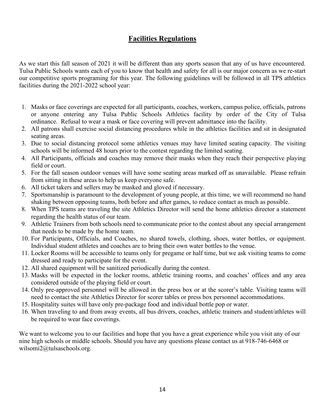#### **Facilities Regulations**

As we start this fall season of 2021 it will be different than any sports season that any of us have encountered. Tulsa Public Schools wants each of you to know that health and safety for all is our major concern as we re-start our competitive sports programing for this year. The following guidelines will be followed in all TPS athletics facilities during the 2021-2022 school year:

- 1. Masks or face coverings are expected for all participants, coaches, workers, campus police, officials, patrons or anyone entering any Tulsa Public Schools Athletics facility by order of the City of Tulsa ordinance. Refusal to wear a mask or face covering will prevent admittance into the facility.
- 2. All patrons shall exercise social distancing procedures while in the athletics facilities and sit in designated seating areas.
- 3. Due to social distancing protocol some athletics venues may have limited seating capacity. The visiting schools will be informed 48 hours prior to the contest regarding the limited seating.
- 4. All Participants, officials and coaches may remove their masks when they reach their perspective playing field or court.
- 5. For the fall season outdoor venues will have some seating areas marked off as unavailable. Please refrain from sitting in these areas to help us keep everyone safe.
- 6. All ticket takers and sellers may be masked and gloved if necessary.
- 7. Sportsmanship is paramount to the development of young people, at this time, we will recommend no hand shaking between opposing teams, both before and after games, to reduce contact as much as possible.
- 8. When TPS teams are traveling the site Athletics Director will send the home athletics director a statement regarding the health status of our team.
- 9. Athletic Trainers from both schools need to communicate prior to the contest about any special arrangement that needs to be made by the home team.
- 10. For Participants, Officials, and Coaches, no shared towels, clothing, shoes, water bottles, or equipment. Individual student athletes and coaches are to bring their own water bottles to the venue.
- 11. Locker Rooms will be accessible to teams only for pregame or half time, but we ask visiting teams to come dressed and ready to participate for the event.
- 12. All shared equipment will be sanitized periodically during the contest.
- 13. Masks will be expected in the locker rooms, athletic training rooms, and coaches' offices and any area considered outside of the playing field or court.
- 14. Only pre-approved personnel will be allowed in the press box or at the scorer's table. Visiting teams will need to contact the site Athletics Director for scorer tables or press box personnel accommodations.
- 15. Hospitality suites will have only pre-package food and individual bottle pop or water.
- 16. When traveling to and from away events, all bus drivers, coaches, athletic trainers and student/athletes will be required to wear face coverings.

We want to welcome you to our facilities and hope that you have a great experience while you visit any of our nine high schools or middle schools. Should you have any questions please contact us at 918-746-6468 or wilsomi2@tulsaschools.org.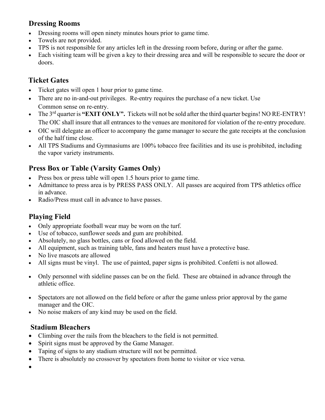#### **Dressing Rooms**

- Dressing rooms will open ninety minutes hours prior to game time.
- Towels are not provided.
- TPS is not responsible for any articles left in the dressing room before, during or after the game.
- Each visiting team will be given a key to their dressing area and will be responsible to secure the door or doors.

#### **Ticket Gates**

- Ticket gates will open 1 hour prior to game time.
- There are no in-and-out privileges. Re-entry requires the purchase of a new ticket. Use Common sense on re-entry.
- The 3rd quarter is **"EXIT ONLY".** Tickets will not be sold after the third quarter begins! NO RE-ENTRY! The OIC shall insure that all entrances to the venues are monitored for violation of the re-entry procedure.
- OIC will delegate an officer to accompany the game manager to secure the gate receipts at the conclusion of the half time close.
- All TPS Stadiums and Gymnasiums are 100% tobacco free facilities and its use is prohibited, including the vapor variety instruments.

#### **Press Box or Table (Varsity Games Only)**

- Press box or press table will open 1.5 hours prior to game time.
- Admittance to press area is by PRESS PASS ONLY. All passes are acquired from TPS athletics office in advance.
- Radio/Press must call in advance to have passes.

#### **Playing Field**

- Only appropriate football wear may be worn on the turf.
- Use of tobacco, sunflower seeds and gum are prohibited.
- Absolutely, no glass bottles, cans or food allowed on the field.
- All equipment, such as training table, fans and heaters must have a protective base.
- No live mascots are allowed
- All signs must be vinyl. The use of painted, paper signs is prohibited. Confetti is not allowed.
- Only personnel with sideline passes can be on the field. These are obtained in advance through the athletic office.
- Spectators are not allowed on the field before or after the game unless prior approval by the game manager and the OIC.
- No noise makers of any kind may be used on the field.

#### **Stadium Bleachers**

- Climbing over the rails from the bleachers to the field is not permitted.
- Spirit signs must be approved by the Game Manager.
- Taping of signs to any stadium structure will not be permitted.
- There is absolutely no crossover by spectators from home to visitor or vice versa.

•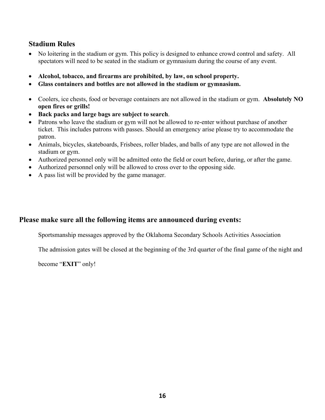#### **Stadium Rules**

- No loitering in the stadium or gym. This policy is designed to enhance crowd control and safety. All spectators will need to be seated in the stadium or gymnasium during the course of any event.
- **Alcohol, tobacco, and firearms are prohibited, by law, on school property.**
- **Glass containers and bottles are not allowed in the stadium or gymnasium.**
- Coolers, ice chests, food or beverage containers are not allowed in the stadium or gym. **Absolutely NO open fires or grills!**
- **Back packs and large bags are subject to search**.
- Patrons who leave the stadium or gym will not be allowed to re-enter without purchase of another ticket. This includes patrons with passes. Should an emergency arise please try to accommodate the patron.
- Animals, bicycles, skateboards, Frisbees, roller blades, and balls of any type are not allowed in the stadium or gym.
- Authorized personnel only will be admitted onto the field or court before, during, or after the game.
- Authorized personnel only will be allowed to cross over to the opposing side.
- A pass list will be provided by the game manager.

#### **Please make sure all the following items are announced during events:**

Sportsmanship messages approved by the Oklahoma Secondary Schools Activities Association

The admission gates will be closed at the beginning of the 3rd quarter of the final game of the night and

become "**EXIT**" only!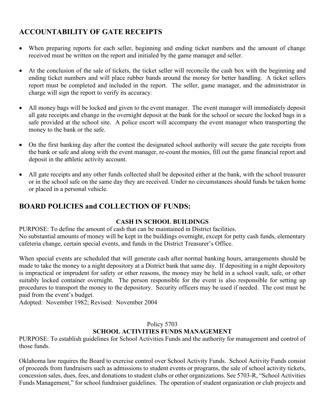#### **ACCOUNTABILITY OF GATE RECEIPTS**

- When preparing reports for each seller, beginning and ending ticket numbers and the amount of change received must be written on the report and initialed by the game manager and seller.
- At the conclusion of the sale of tickets, the ticket seller will reconcile the cash box with the beginning and ending ticket numbers and will place rubber bands around the money for better handling. A ticket sellers report must be completed and included in the report. The seller, game manager, and the administrator in charge will sign the report to verify its accuracy.
- All money bags will be locked and given to the event manager. The event manager will immediately deposit all gate receipts and change in the overnight deposit at the bank for the school or secure the locked bags in a safe provided at the school site. A police escort will accompany the event manager when transporting the money to the bank or the safe.
- On the first banking day after the contest the designated school authority will secure the gate receipts from the bank or safe and along with the event manager, re-count the monies, fill out the game financial report and deposit in the athletic activity account.
- All gate receipts and any other funds collected shall be deposited either at the bank, with the school treasurer or in the school safe on the same day they are received. Under no circumstances should funds be taken home or placed in a personal vehicle.

#### **BOARD POLICIES and COLLECTION OF FUNDS:**

#### **CASH IN SCHOOL BUILDINGS**

PURPOSE: To define the amount of cash that can be maintained in District facilities. No substantial amounts of money will be kept in the buildings overnight, except for petty cash funds, elementary cafeteria change, certain special events, and funds in the District Treasurer's Office.

When special events are scheduled that will generate cash after normal banking hours, arrangements should be made to take the money to a night depository at a District bank that same day. If depositing in a night depository is impractical or imprudent for safety or other reasons, the money may be held in a school vault, safe, or other suitably locked container overnight. The person responsible for the event is also responsible for setting up procedures to transport the money to the depository. Security officers may be used if needed. The cost must be paid from the event's budget.

Adopted: November 1982; Revised: November 2004

#### Policy 5703 **SCHOOL ACTIVITIES FUNDS MANAGEMENT**

PURPOSE: To establish guidelines for School Activities Funds and the authority for management and control of those funds.

Oklahoma law requires the Board to exercise control over School Activity Funds. School Activity Funds consist of proceeds from fundraisers such as admissions to student events or programs, the sale of school activity tickets, concession sales, dues, fees, and donations to student clubs or other organizations. See 5703-R, "School Activities Funds Management," for school fundraiser guidelines. The operation of student organization or club projects and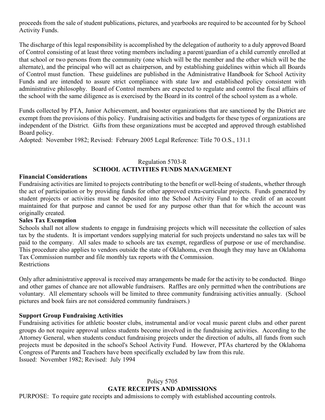proceeds from the sale of student publications, pictures, and yearbooks are required to be accounted for by School Activity Funds.

The discharge of this legal responsibility is accomplished by the delegation of authority to a duly approved Board of Control consisting of at least three voting members including a parent/guardian of a child currently enrolled at that school or two persons from the community (one which will be the member and the other which will be the alternate), and the principal who will act as chairperson, and by establishing guidelines within which all Boards of Control must function. These guidelines are published in the Administrative Handbook for School Activity Funds and are intended to assure strict compliance with state law and established policy consistent with administrative philosophy. Board of Control members are expected to regulate and control the fiscal affairs of the school with the same diligence as is exercised by the Board in its control of the school system as a whole.

Funds collected by PTA, Junior Achievement, and booster organizations that are sanctioned by the District are exempt from the provisions of this policy. Fundraising activities and budgets for these types of organizations are independent of the District. Gifts from these organizations must be accepted and approved through established Board policy.

Adopted: November 1982; Revised: February 2005 Legal Reference: Title 70 O.S., 131.1

#### Regulation 5703-R **SCHOOL ACTIVITIES FUNDS MANAGEMENT**

#### **Financial Considerations**

Fundraising activities are limited to projects contributing to the benefit or well-being of students, whether through the act of participation or by providing funds for other approved extra-curricular projects. Funds generated by student projects or activities must be deposited into the School Activity Fund to the credit of an account maintained for that purpose and cannot be used for any purpose other than that for which the account was originally created.

#### **Sales Tax Exemption**

Schools shall not allow students to engage in fundraising projects which will necessitate the collection of sales tax by the students. It is important vendors supplying material for such projects understand no sales tax will be paid to the company. All sales made to schools are tax exempt, regardless of purpose or use of merchandise. This procedure also applies to vendors outside the state of Oklahoma, even though they may have an Oklahoma Tax Commission number and file monthly tax reports with the Commission. **Restrictions** 

Only after administrative approval is received may arrangements be made for the activity to be conducted. Bingo and other games of chance are not allowable fundraisers. Raffles are only permitted when the contributions are voluntary. All elementary schools will be limited to three community fundraising activities annually. (School pictures and book fairs are not considered community fundraisers.)

#### **Support Group Fundraising Activities**

Fundraising activities for athletic booster clubs, instrumental and/or vocal music parent clubs and other parent groups do not require approval unless students become involved in the fundraising activities. According to the Attorney General, when students conduct fundraising projects under the direction of adults, all funds from such projects must be deposited in the school's School Activity Fund. However, PTAs chartered by the Oklahoma Congress of Parents and Teachers have been specifically excluded by law from this rule. Issued: November 1982; Revised: July 1994

#### Policy 5705 **GATE RECEIPTS AND ADMISSIONS**

PURPOSE: To require gate receipts and admissions to comply with established accounting controls.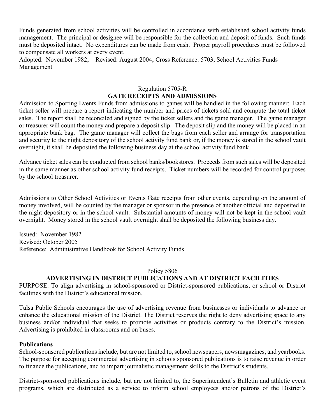Funds generated from school activities will be controlled in accordance with established school activity funds management. The principal or designee will be responsible for the collection and deposit of funds. Such funds must be deposited intact. No expenditures can be made from cash. Proper payroll procedures must be followed to compensate all workers at every event.

Adopted: November 1982; Revised: August 2004; Cross Reference: 5703, School Activities Funds Management

#### Regulation 5705-R **GATE RECEIPTS AND ADMISSIONS**

Admission to Sporting Events Funds from admissions to games will be handled in the following manner: Each ticket seller will prepare a report indicating the number and prices of tickets sold and compute the total ticket sales. The report shall be reconciled and signed by the ticket sellers and the game manager. The game manager or treasurer will count the money and prepare a deposit slip. The deposit slip and the money will be placed in an appropriate bank bag. The game manager will collect the bags from each seller and arrange for transportation and security to the night depository of the school activity fund bank or, if the money is stored in the school vault overnight, it shall be deposited the following business day at the school activity fund bank.

Advance ticket sales can be conducted from school banks/bookstores. Proceeds from such sales will be deposited in the same manner as other school activity fund receipts. Ticket numbers will be recorded for control purposes by the school treasurer.

Admissions to Other School Activities or Events Gate receipts from other events, depending on the amount of money involved, will be counted by the manager or sponsor in the presence of another official and deposited in the night depository or in the school vault. Substantial amounts of money will not be kept in the school vault overnight. Money stored in the school vault overnight shall be deposited the following business day.

Issued: November 1982 Revised: October 2005 Reference: Administrative Handbook for School Activity Funds

#### Policy 5806

#### **ADVERTISING IN DISTRICT PUBLICATIONS AND AT DISTRICT FACILITIES**

PURPOSE: To align advertising in school-sponsored or District-sponsored publications, or school or District facilities with the District's educational mission.

Tulsa Public Schools encourages the use of advertising revenue from businesses or individuals to advance or enhance the educational mission of the District. The District reserves the right to deny advertising space to any business and/or individual that seeks to promote activities or products contrary to the District's mission. Advertising is prohibited in classrooms and on buses.

#### **Publications**

School-sponsored publications include, but are not limited to, school newspapers, newsmagazines, and yearbooks. The purpose for accepting commercial advertising in schools sponsored publications is to raise revenue in order to finance the publications, and to impart journalistic management skills to the District's students.

District-sponsored publications include, but are not limited to, the Superintendent's Bulletin and athletic event programs, which are distributed as a service to inform school employees and/or patrons of the District's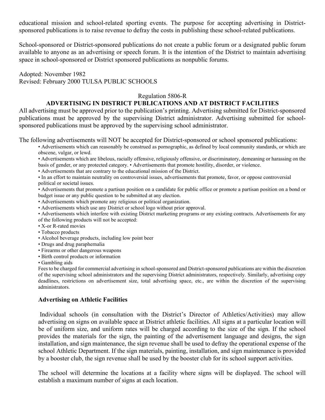educational mission and school-related sporting events. The purpose for accepting advertising in Districtsponsored publications is to raise revenue to defray the costs in publishing these school-related publications.

School-sponsored or District-sponsored publications do not create a public forum or a designated public forum available to anyone as an advertising or speech forum. It is the intention of the District to maintain advertising space in school-sponsored or District sponsored publications as nonpublic forums.

Adopted: November 1982 Revised: February 2000 TULSA PUBLIC SCHOOLS

#### Regulation 5806-R

#### **ADVERTISING IN DISTRICT PUBLICATIONS AND AT DISTRICT FACILITIES**

All advertising must be approved prior to the publication's printing. Advertising submitted for District-sponsored publications must be approved by the supervising District administrator. Advertising submitted for schoolsponsored publications must be approved by the supervising school administrator.

The following advertisements will NOT be accepted for District-sponsored or school sponsored publications:

• Advertisements which can reasonably be construed as pornographic, as defined by local community standards, or which are obscene, vulgar, or lewd.

• Advertisements which are libelous, racially offensive, religiously offensive, or discriminatory, demeaning or harassing on the basis of gender, or any protected category. • Advertisements that promote hostility, disorder, or violence.

• Advertisements that are contrary to the educational mission of the District.

• In an effort to maintain neutrality on controversial issues, advertisements that promote, favor, or oppose controversial political or societal issues.

• Advertisements that promote a partisan position on a candidate for public office or promote a partisan position on a bond or budget issue or any public question to be submitted at any election.

• Advertisements which promote any religious or political organization.

• Advertisements which use any District or school logo without prior approval.

• Advertisements which interfere with existing District marketing programs or any existing contracts. Advertisements for any of the following products will not be accepted:

- X-or R-rated movies
- Tobacco products
- Alcohol beverage products, including low point beer
- Drugs and drug paraphernalia
- Firearms or other dangerous weapons
- Birth control products or information

• Gambling aids

Fees to be charged for commercial advertising in school-sponsored and District-sponsored publications are within the discretion of the supervising school administrators and the supervising District administrators, respectively. Similarly, advertising copy deadlines, restrictions on advertisement size, total advertising space, etc., are within the discretion of the supervising administrators.

#### **Advertising on Athletic Facilities**

Individual schools (in consultation with the District's Director of Athletics/Activities) may allow advertising on signs on available space at District athletic facilities. All signs at a particular location will be of uniform size, and uniform rates will be charged according to the size of the sign. If the school provides the materials for the sign, the painting of the advertisement language and designs, the sign installation, and sign maintenance, the sign revenue shall be used to defray the operational expense of the school Athletic Department. If the sign materials, painting, installation, and sign maintenance is provided by a booster club, the sign revenue shall be used by the booster club for its school support activities.

The school will determine the locations at a facility where signs will be displayed. The school will establish a maximum number of signs at each location.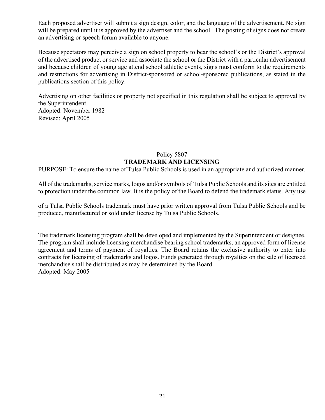Each proposed advertiser will submit a sign design, color, and the language of the advertisement. No sign will be prepared until it is approved by the advertiser and the school. The posting of signs does not create an advertising or speech forum available to anyone.

Because spectators may perceive a sign on school property to bear the school's or the District's approval of the advertised product or service and associate the school or the District with a particular advertisement and because children of young age attend school athletic events, signs must conform to the requirements and restrictions for advertising in District-sponsored or school-sponsored publications, as stated in the publications section of this policy.

Advertising on other facilities or property not specified in this regulation shall be subject to approval by the Superintendent. Adopted: November 1982 Revised: April 2005

#### Policy 5807 **TRADEMARK AND LICENSING**

PURPOSE: To ensure the name of Tulsa Public Schools is used in an appropriate and authorized manner.

All of the trademarks, service marks, logos and/or symbols of Tulsa Public Schools and its sites are entitled to protection under the common law. It is the policy of the Board to defend the trademark status. Any use

of a Tulsa Public Schools trademark must have prior written approval from Tulsa Public Schools and be produced, manufactured or sold under license by Tulsa Public Schools.

The trademark licensing program shall be developed and implemented by the Superintendent or designee. The program shall include licensing merchandise bearing school trademarks, an approved form of license agreement and terms of payment of royalties. The Board retains the exclusive authority to enter into contracts for licensing of trademarks and logos. Funds generated through royalties on the sale of licensed merchandise shall be distributed as may be determined by the Board. Adopted: May 2005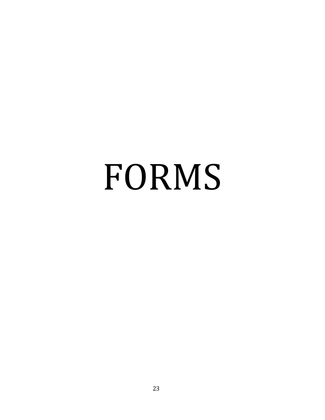# FORMS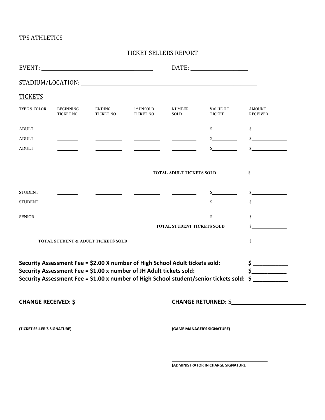#### TPS ATHLETICS

#### TICKET SELLERS REPORT

| <b>TICKETS</b> |                                               |                                                                              |                                                                                                                          |                                                                                                                                                                                                                                                                                                                                                                                                                                                                                                  |                           |                                                                                          |
|----------------|-----------------------------------------------|------------------------------------------------------------------------------|--------------------------------------------------------------------------------------------------------------------------|--------------------------------------------------------------------------------------------------------------------------------------------------------------------------------------------------------------------------------------------------------------------------------------------------------------------------------------------------------------------------------------------------------------------------------------------------------------------------------------------------|---------------------------|------------------------------------------------------------------------------------------|
| TYPE & COLOR   | <b>BEGINNING</b><br>TICKET NO.                | ENDING<br>TICKET NO.                                                         | 1st UNSOLD<br><b>TICKET NO.</b>                                                                                          | <b>NUMBER</b><br>SOLD                                                                                                                                                                                                                                                                                                                                                                                                                                                                            | <b>VALUE OF</b><br>TICKET | <b>AMOUNT</b><br><b>RECEIVED</b>                                                         |
| <b>ADULT</b>   |                                               |                                                                              | <u> 1999 - Jan Jawa</u>                                                                                                  | $\begin{tabular}{ll} \multicolumn{2}{c} {\textbf{1}} & \multicolumn{2}{c} {\textbf{1}} & \multicolumn{2}{c} {\textbf{1}} \\ \multicolumn{2}{c} {\textbf{2}} & \multicolumn{2}{c} {\textbf{3}} & \multicolumn{2}{c} {\textbf{4}} \\ \multicolumn{2}{c} {\textbf{4}} & \multicolumn{2}{c} {\textbf{5}} & \multicolumn{2}{c} {\textbf{6}} \\ \multicolumn{2}{c} {\textbf{5}} & \multicolumn{2}{c} {\textbf{6}} & \multicolumn{2}{c} {\textbf{6}} \\ \multicolumn{2}{c} {\textbf{5}} & \multicolumn$ | $\mathbf S$               | s                                                                                        |
| <b>ADULT</b>   |                                               |                                                                              | <u> 1989 - Johann Barbara, politik eta politik eta politik eta politik eta politik eta politik eta politik eta p</u> oli |                                                                                                                                                                                                                                                                                                                                                                                                                                                                                                  | $\mathbb{S}$              | s                                                                                        |
| <b>ADULT</b>   |                                               | <u> 1990 - Jan Jawa</u>                                                      | <u>and the state of the state</u>                                                                                        |                                                                                                                                                                                                                                                                                                                                                                                                                                                                                                  | $\mathbb{S}$              | $\sim$                                                                                   |
|                |                                               |                                                                              |                                                                                                                          | <b>TOTAL ADULT TICKETS SOLD</b>                                                                                                                                                                                                                                                                                                                                                                                                                                                                  |                           | s                                                                                        |
| <b>STUDENT</b> |                                               |                                                                              |                                                                                                                          |                                                                                                                                                                                                                                                                                                                                                                                                                                                                                                  | s                         | s                                                                                        |
| <b>STUDENT</b> |                                               | <u> The Community of the Community of the Community</u>                      | <u> Albanya (Albanya Karajara)</u>                                                                                       |                                                                                                                                                                                                                                                                                                                                                                                                                                                                                                  | $\sim$                    | s                                                                                        |
| <b>SENIOR</b>  |                                               |                                                                              | <u> 1990 - Jan James James, politik eta politikar</u>                                                                    |                                                                                                                                                                                                                                                                                                                                                                                                                                                                                                  | $\mathbb{S}$              | s                                                                                        |
|                |                                               |                                                                              |                                                                                                                          | <b>TOTAL STUDENT TICKETS SOLD</b>                                                                                                                                                                                                                                                                                                                                                                                                                                                                |                           | $\frac{1}{2}$                                                                            |
|                | <b>TOTAL STUDENT &amp; ADULT TICKETS SOLD</b> |                                                                              |                                                                                                                          |                                                                                                                                                                                                                                                                                                                                                                                                                                                                                                  |                           | $\sim$                                                                                   |
|                |                                               | Security Assessment Fee = \$2.00 X number of High School Adult tickets sold: |                                                                                                                          |                                                                                                                                                                                                                                                                                                                                                                                                                                                                                                  |                           | $\frac{1}{2}$                                                                            |
|                |                                               | Security Assessment Fee = \$1.00 x number of JH Adult tickets sold:          |                                                                                                                          |                                                                                                                                                                                                                                                                                                                                                                                                                                                                                                  |                           | $\mathsf{\$}$                                                                            |
|                |                                               |                                                                              |                                                                                                                          |                                                                                                                                                                                                                                                                                                                                                                                                                                                                                                  |                           | Security Assessment Fee = \$1.00 x number of High School student/senior tickets sold: \$ |
|                |                                               |                                                                              |                                                                                                                          |                                                                                                                                                                                                                                                                                                                                                                                                                                                                                                  |                           | CHANGE RETURNED: \$                                                                      |
|                |                                               |                                                                              |                                                                                                                          |                                                                                                                                                                                                                                                                                                                                                                                                                                                                                                  |                           |                                                                                          |

**(TICKET SELLER'S SIGNATURE) (GAME MANAGER'S SIGNATURE)**

**(ADMINISTRATOR IN CHARGE SIGNATURE**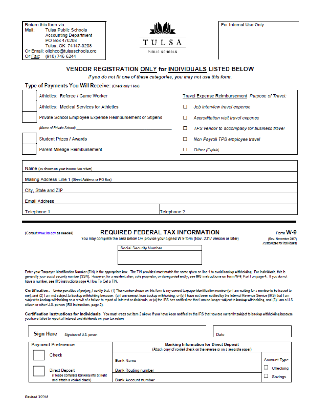Return this form via: **Tulsa Public Schools** Mail: **Accounting Department** PO Box 470208 Tulsa, OK 74147-0208 Or Email: oliphco@tulsaschools.org (918) 746-6244 Or Fax:



For Internal Use Only

#### VENDOR REGISTRATION ONLY for INDIVIDUALS LISTED BELOW

If you do not fit one of these categories, you may not use this form.

| Type of Payments You Will Receive: (Check only 1 box)    |             |   |                                                 |  |  |
|----------------------------------------------------------|-------------|---|-------------------------------------------------|--|--|
| Athletics: Referee / Game Worker                         |             |   | Travel Expense Reimbursement Purpose of Travel: |  |  |
| Athletics: Medical Services for Athletics                |             | □ | Job interview travel expense                    |  |  |
| Private School Employee Expense Reimbursement or Stipend |             | □ | Accreditation visit travel expense              |  |  |
| (Name of Private School) <b>Section 2008</b>             |             | □ | TPS vendor to accompany for business travel     |  |  |
| <b>Student Prizes / Awards</b>                           |             | ◻ | Non Payroll TPS employee travel                 |  |  |
| Parent Mileage Reimbursement                             |             | ◻ | Other (Explain)                                 |  |  |
|                                                          |             |   |                                                 |  |  |
| Name (as shown on your income tax return)                |             |   |                                                 |  |  |
| Mailing Address Line 1 (Street Address or PO Box)        |             |   |                                                 |  |  |
| City, State and ZIP                                      |             |   |                                                 |  |  |
| <b>Email Address</b>                                     |             |   |                                                 |  |  |
| Telephone 1                                              | Telephone 2 |   |                                                 |  |  |

(Consult www.irs.gov as needed)

#### **REQUIRED FEDERAL TAX INFORMATION**

You may complete the area below OR provide your signed W-9 form (Nov. 2017 version or later)

#### $F<sub>orm</sub> W-9$

(Rev. November 2017) (customized for individuals)

**Social Security Number** 

Enter your Taxpayer Identification Number (TIN) in the appropriate box. The TIN provided must match the name given on line 1 to avoid backup withholding. For individuals, this is generally your social security number (SSN). However, for a resident alien, sole proprietor, or disregarded entity, see IRS instructions on form W-9, Part I on page 4. If you do not have a number, see IRS instructions page 4, How To Get a TIN.

Certification: Under penalties of perjury, I certify that: (1) The number shown on this form is my correct taxpayer identification number (or I am waiting for a number to be issued to me), and (2) I am not subject to backup withholding because: (a) I am exempt from backup withholding, or (b) I have not been notified by the Internal Revenue Service (IRS) that I am subject to backup withholding as a result of a failure to report all interest or dividends, or (c) the IRS has notified me that I am no longer subject to backup withholding, and (3) I am a U.S. citizen or other U.S. person (IRS instructions, page 2).

Certification Instructions for Individuals. You must cross out item 2 above if you have been notified by the IRS that you are currently subject to backup withholding because you have failed to report all interest and dividends on your tax return

| Sign Here<br>Signature of U.S. person  | Date                                                                |                     |
|----------------------------------------|---------------------------------------------------------------------|---------------------|
| <b>Payment Preference</b>              | <b>Banking Information for Direct Deposit</b>                       |                     |
|                                        | (Attach copy of voided check on the reverse or on a separate paper) |                     |
| Check                                  |                                                                     |                     |
|                                        | <b>Bank Name</b>                                                    | <b>Account Type</b> |
|                                        |                                                                     |                     |
| <b>Direct Deposit</b>                  | <b>Bank Routing number</b>                                          | Checking            |
| (Please complete banking info at right |                                                                     | Savings             |
| and attach a voided check)             | <b>Bank Account number</b>                                          |                     |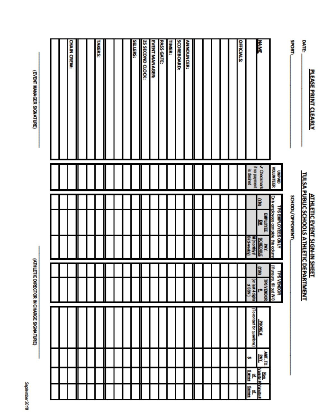September 2018

(ATH LETIC DIRECTOR IN CHARGE SIGNATURE)

(EVENT MANAGER SIGNATURE)

|                   | UNPAID<br>VOLUNTEER         | Only employees complete<br><b>TPS EMPLOYEES ONLY</b><br>this column | Ē<br><b>TPS VENDOR</b><br>ã<br>fill out W-9      |                         |         |                                                           |  |
|-------------------|-----------------------------|---------------------------------------------------------------------|--------------------------------------------------|-------------------------|---------|-----------------------------------------------------------|--|
| <b>NAME</b>       | V Checkmank                 | <b>COMD</b><br>ENPLOYEE<br>Da<br><b>PAY</b><br>SCHEDULE             | ÎЮ<br>TPS VENDOR<br>(or last 4 digits<br>d SSN ) | <b>PHONE#</b>           | AMT. TO |                                                           |  |
|                   | if no payment<br>is desired | 3<br>모<br>inctin<br>Ξ                                               |                                                  | (acquent sq paqueo o L) | u.      | Non<br>Vantiv d<br>Games<br>Vasitvi<br><u>od</u><br>Games |  |
| <b>OFFICIALS:</b> |                             |                                                                     |                                                  |                         |         |                                                           |  |
|                   |                             |                                                                     |                                                  |                         |         |                                                           |  |
|                   |                             |                                                                     |                                                  |                         |         |                                                           |  |
|                   |                             |                                                                     |                                                  |                         |         |                                                           |  |
|                   |                             |                                                                     |                                                  |                         |         |                                                           |  |
|                   |                             |                                                                     |                                                  |                         |         |                                                           |  |
| <b>ANNOUNCER:</b> |                             |                                                                     |                                                  |                         |         |                                                           |  |
| SCOREBOARD:       |                             |                                                                     |                                                  |                         |         |                                                           |  |
| TIMER:            |                             |                                                                     |                                                  |                         |         |                                                           |  |
| PASS GATE:        |                             |                                                                     |                                                  |                         |         |                                                           |  |
| EVENT MANAGER:    |                             |                                                                     |                                                  |                         |         |                                                           |  |
| 25 SECOND CLOCK:  |                             |                                                                     |                                                  |                         |         |                                                           |  |
| <b>SELLERS:</b>   |                             |                                                                     |                                                  |                         |         |                                                           |  |
|                   |                             |                                                                     |                                                  |                         |         |                                                           |  |
|                   |                             |                                                                     |                                                  |                         |         |                                                           |  |
|                   |                             |                                                                     |                                                  |                         |         |                                                           |  |
| <b>TAKERS:</b>    |                             |                                                                     |                                                  |                         |         |                                                           |  |
|                   |                             |                                                                     |                                                  |                         |         |                                                           |  |
|                   |                             |                                                                     |                                                  |                         |         |                                                           |  |
| CHAIN CREW:       |                             |                                                                     |                                                  |                         |         |                                                           |  |
|                   |                             |                                                                     |                                                  |                         |         |                                                           |  |
|                   |                             |                                                                     |                                                  |                         |         |                                                           |  |

# **ATHLETIC EVENT SIGN-IN SHEET<br>TULSA PUBLIC SCHOOLS ATHLETIC DEPARTMENT** SCHOOL/OPPONENT:

SPORT<sub>-</sub>

DATE:

PLEASE PRINT CLEARLY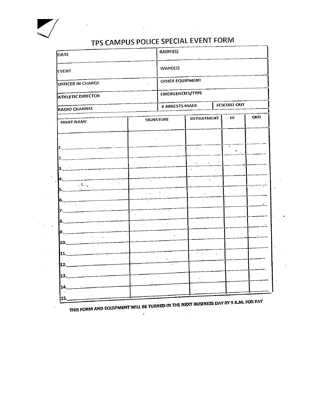

 $\ddot{\phantom{a}}$ 

 $\mathcal{L}^{(1)}$ 

 $\frac{1}{2} \left( \frac{1}{2} \right) \left( \frac{1}{2} \right)$ 

 $\mathcal{L}$ 

 $\sim$   $\sigma$ 

 $\mathcal{L}$ 

## TPS CAMPUS POLICE SPECIAL EVENT FORM

 $\mathcal{L}^{\mathcal{L}}(\mathcal{L}^{\mathcal{L}})$  and  $\mathcal{L}^{\mathcal{L}}(\mathcal{L}^{\mathcal{L}})$  and  $\mathcal{L}^{\mathcal{L}}(\mathcal{L}^{\mathcal{L}})$  and  $\mathcal{L}^{\mathcal{L}}(\mathcal{L}^{\mathcal{L}})$ 

| DATE                                           |                  | RADIO(S)         |                                    |    |                    |                  |
|------------------------------------------------|------------------|------------------|------------------------------------|----|--------------------|------------------|
| EVENT                                          |                  | WAND(S)          |                                    |    |                    |                  |
| <b>OFFICER IN CHARGE</b>                       |                  | OTHER EQUIPMENT  |                                    |    |                    |                  |
| <b>ATHLETIC DIRECTOR</b>                       |                  | EMERGENCIES/TYPE |                                    |    |                    |                  |
| <b>RADIO CHANNEL</b>                           |                  | # ARRESTS MADE   |                                    |    | <b>EESCORT OUT</b> |                  |
| PRINT NAME                                     | <b>SIGNATURE</b> |                  | <b>DEPARTMENT</b>                  |    | ti#                | <b>OUT</b>       |
|                                                |                  |                  |                                    |    |                    |                  |
| 11.                                            |                  |                  | $\sim$ $\pm$                       |    | $\bullet$          |                  |
| 2.                                             |                  |                  |                                    |    |                    |                  |
| Β.                                             |                  |                  |                                    |    |                    |                  |
| 4.<br>भाग<br>$\mathcal{L} \subset \mathcal{L}$ |                  |                  |                                    |    |                    |                  |
| 5.                                             | $\ddotsc$        |                  |                                    |    |                    |                  |
| 6.                                             |                  |                  |                                    |    |                    |                  |
| 7. _                                           |                  | $\bar{z}$        |                                    |    |                    |                  |
| $\mathbf{8}$ .                                 |                  | $\Box$           |                                    |    | ÷.                 |                  |
|                                                |                  |                  |                                    |    |                    |                  |
|                                                |                  |                  |                                    |    |                    |                  |
| 11.                                            |                  |                  | $\overline{\phantom{a}}$<br>$\sim$ | ÷. |                    |                  |
| $12 -$                                         |                  |                  |                                    |    |                    |                  |
| $13-$                                          |                  |                  |                                    |    |                    |                  |
| 14._                                           |                  |                  |                                    |    |                    |                  |
| 15.                                            |                  |                  |                                    |    |                    | A O A MA POR PAY |

THIS FORM AND EQUIPMENT WILL BE TURNED IN THE NEXT BUSINESS DAY BY 9 A.M. FOR PAY

 $\mathcal{A}$ 

 $\omega^{\pm}$